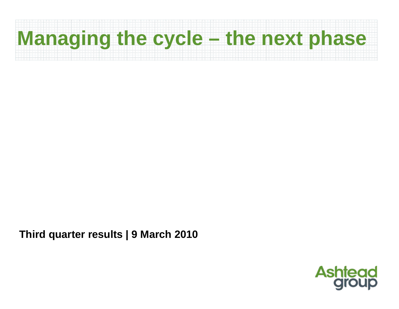# **Managing the cycle – the next phase**

**Third quarter results | 9 March 2010**

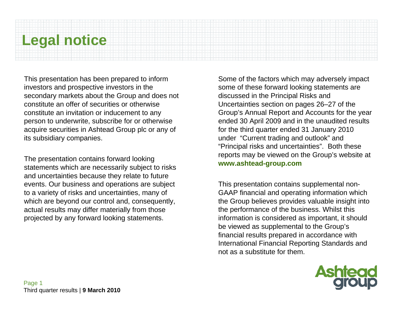## **Legal notice**

This presentation has been prepared to inform investors and prospective investors in the secondary markets about the Group and does not constitute an offer of securities or otherwise constitute an invitation or inducement to any person to underwrite, subscribe for or otherwise acquire securities in Ashtead Group plc or any of its subsidiary companies.

The presentation contains forward looking statements which are necessarily subject to risks and uncertainties because they relate to future events. Our business and operations are subject to a variety of risks and uncertainties, many of which are beyond our control and, consequently, actual results may differ materially from those projected by any forward looking statements.

Some of the factors which may adversely impact some of these forward looking statements are discussed in the Principal Risks and Uncertainties section on pages 26–27 of the Group's Annual Report and Accounts for the year ended 30 April 2009 and in the unaudited results for the third quarter ended 31 January 2010 under "Current trading and outlook" and "Principal risks and uncertainties". Both these reports may be viewed on the Group's website at **www.ashtead-group.com**

This presentation contains supplemental non-GAAP financial and operating information which the Group believes provides valuable insight into the performance of the business. Whilst this information is considered as important, it should be viewed as supplemental to the Group's financial results prepared in accordance with International Financial Reporting Standards and not as a substitute for them.

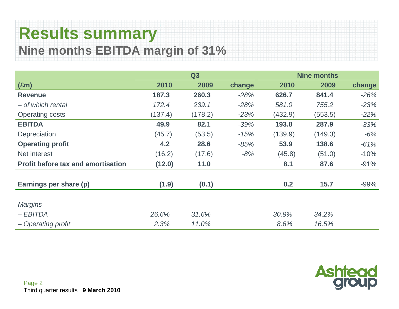#### **Results summary Nine months EBITDA margin of 31%**

|                                           |         | Q3      |        | <b>Nine months</b> |         |        |  |  |
|-------------------------------------------|---------|---------|--------|--------------------|---------|--------|--|--|
| $(\text{Em})$                             | 2010    | 2009    | change | 2010               | 2009    | change |  |  |
| <b>Revenue</b>                            | 187.3   | 260.3   | $-28%$ | 626.7              | 841.4   | $-26%$ |  |  |
| - of which rental                         | 172.4   | 239.1   | $-28%$ | 581.0              | 755.2   | $-23%$ |  |  |
| <b>Operating costs</b>                    | (137.4) | (178.2) | $-23%$ | (432.9)            | (553.5) | $-22%$ |  |  |
| <b>EBITDA</b>                             | 49.9    | 82.1    | $-39%$ | 193.8              | 287.9   | $-33%$ |  |  |
| Depreciation                              | (45.7)  | (53.5)  | $-15%$ | (139.9)            | (149.3) | $-6%$  |  |  |
| <b>Operating profit</b>                   | 4.2     | 28.6    | $-85%$ | 53.9               | 138.6   | $-61%$ |  |  |
| Net interest                              | (16.2)  | (17.6)  | $-8%$  | (45.8)             | (51.0)  | $-10%$ |  |  |
| <b>Profit before tax and amortisation</b> | (12.0)  | 11.0    |        | 8.1                | 87.6    | $-91%$ |  |  |
| Earnings per share (p)                    | (1.9)   | (0.1)   |        | 0.2                | 15.7    | $-99%$ |  |  |
| <b>Margins</b>                            |         |         |        |                    |         |        |  |  |
| $-EBITDA$                                 | 26.6%   | 31.6%   |        | 30.9%              | 34.2%   |        |  |  |
| - Operating profit                        | 2.3%    | 11.0%   |        | 8.6%               | 16.5%   |        |  |  |

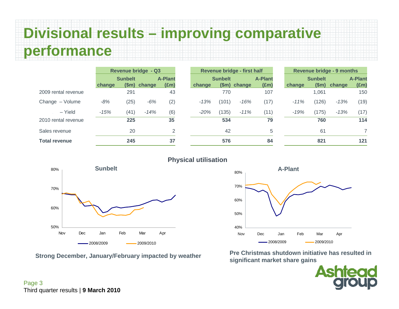### **Divisional results – improving comparative performance**

|                      | <b>Revenue bridge - Q3</b>       |      | Revenue bridge - first half |                |        |                | <b>Revenue bridge - 9 months</b> |                |        |                |        |               |
|----------------------|----------------------------------|------|-----------------------------|----------------|--------|----------------|----------------------------------|----------------|--------|----------------|--------|---------------|
|                      | <b>A-Plant</b><br><b>Sunbelt</b> |      |                             | <b>Sunbelt</b> |        | <b>A-Plant</b> |                                  | <b>Sunbelt</b> |        | <b>A-Plant</b> |        |               |
|                      | change                           | (Sm) | change                      | $(\text{Em})$  | change |                | (\$m) change                     | $(\text{Em})$  | change | \$m\$          | change | $(\text{Em})$ |
| 2009 rental revenue  |                                  | 291  |                             | 43             |        | 770            |                                  | 107            |        | 1,061          |        | 150           |
| Change - Volume      | $-8%$                            | (25) | $-6%$                       | (2)            | $-13%$ | (101)          | $-16%$                           | (17)           | $-11%$ | (126)          | $-13%$ | (19)          |
| - Yield              | $-15%$                           | (41) | $-14%$                      | (6)            | $-20%$ | (135)          | $-11%$                           | (11)           | $-19%$ | (175)          | $-13%$ | (17)          |
| 2010 rental revenue  |                                  | 225  |                             | 35             |        | 534            |                                  | 79             |        | 760            |        | 114           |
| Sales revenue        |                                  | 20   |                             | 2              |        | 42             |                                  | 5              |        | 61             |        | 7             |
| <b>Total revenue</b> |                                  | 245  |                             | 37             |        | 576            |                                  | 84             |        | 821            |        | 121           |







**Strong December, January/February impacted by weather Pre Christmas shutdown initiative has resulted in significant market share gains**

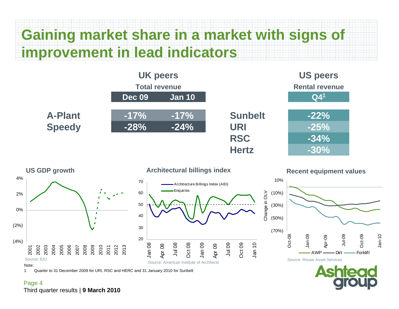### **Gaining market share in a market with signs of improvement in lead indicators**





**Architectural billings index**



**Recent equipment values**



Change in OLV



1 Quarter to 31 December 2009 for URI, RSC and HERC and 31 January 2010 for Sunbelt

#### Page 4 Third quarter results | **9 March 2010**